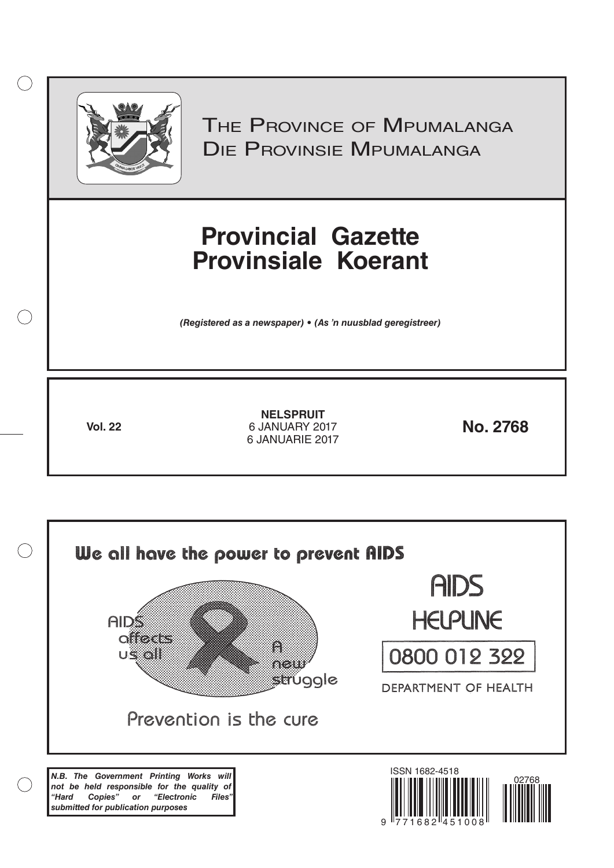

 $( )$ 

THE PROVINCE OF MPUMALANGA Die Provinsie Mpumalanga

## **Provincial Gazette Provinsiale Koerant**

*(Registered as a newspaper) • (As 'n nuusblad geregistreer)*

**Vol. 22 No. 2768** 6 JANUARY 2017 **NELSPRUIT** 6 JANUARIE 2017

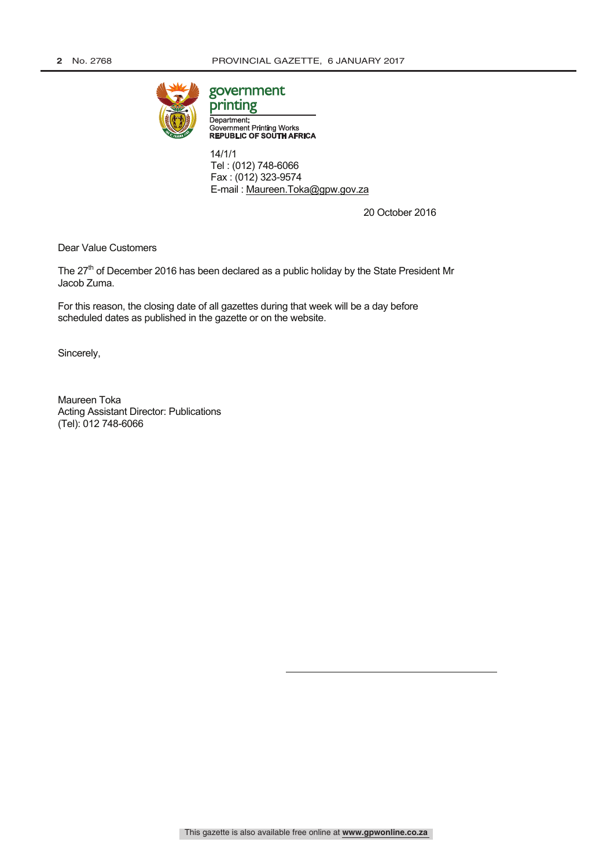

## government

printing Department: Government Printing Works<br>REPUBLIC OF SOUTH AFRICA

 14/1/1 Tel : (012) 748-6066 Fax : (012) 323-9574 E-mail : Maureen.Toka@gpw.gov.za

20 October 2016

Dear Value Customers

The 27<sup>th</sup> of December 2016 has been declared as a public holiday by the State President Mr Jacob Zuma.

For this reason, the closing date of all gazettes during that week will be a day before scheduled dates as published in the gazette or on the website.

Sincerely,

Maureen Toka Acting Assistant Director: Publications (Tel): 012 748-6066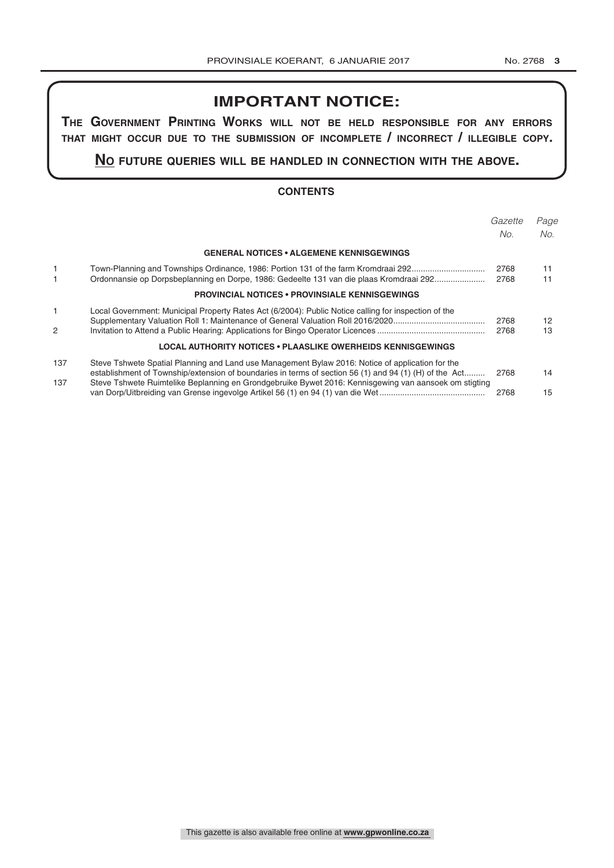## **IMPORTANT NOTICE:**

**The GovernmenT PrinTinG Works Will noT be held resPonsible for any errors ThaT miGhT occur due To The submission of incomPleTe / incorrecT / illeGible coPy.**

**no fuTure queries Will be handled in connecTion WiTh The above.**

#### **CONTENTS**

|     |                                                                                                        | Gazette | Page |
|-----|--------------------------------------------------------------------------------------------------------|---------|------|
|     |                                                                                                        | No.     | No.  |
|     | <b>GENERAL NOTICES • ALGEMENE KENNISGEWINGS</b>                                                        |         |      |
| 1   | Town-Planning and Townships Ordinance, 1986: Portion 131 of the farm Kromdraai 292                     | 2768    | 11   |
|     | Ordonnansie op Dorpsbeplanning en Dorpe, 1986: Gedeelte 131 van die plaas Kromdraai 292                | 2768    | 11   |
|     | <b>PROVINCIAL NOTICES • PROVINSIALE KENNISGEWINGS</b>                                                  |         |      |
| 1   | Local Government: Municipal Property Rates Act (6/2004): Public Notice calling for inspection of the   | 2768    | 12   |
| 2   |                                                                                                        | 2768    | 13   |
|     | LOCAL AUTHORITY NOTICES • PLAASLIKE OWERHEIDS KENNISGEWINGS                                            |         |      |
| 137 | Steve Tshwete Spatial Planning and Land use Management Bylaw 2016: Notice of application for the       |         |      |
|     | establishment of Township/extension of boundaries in terms of section 56 (1) and 94 (1) (H) of the Act | 2768    | 14   |
| 137 | Steve Tshwete Ruimtelike Beplanning en Grondgebruike Bywet 2016: Kennisgewing van aansoek om stigting  | 2768    | 15   |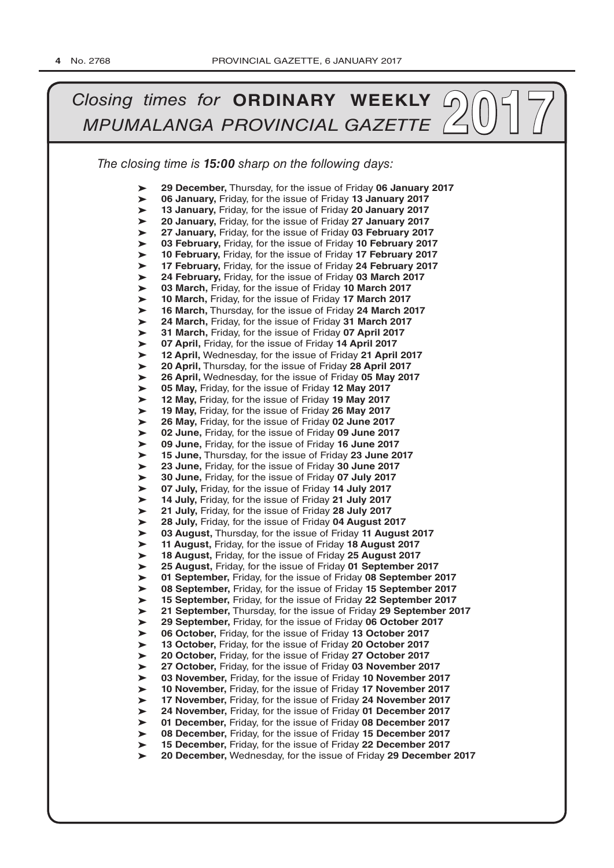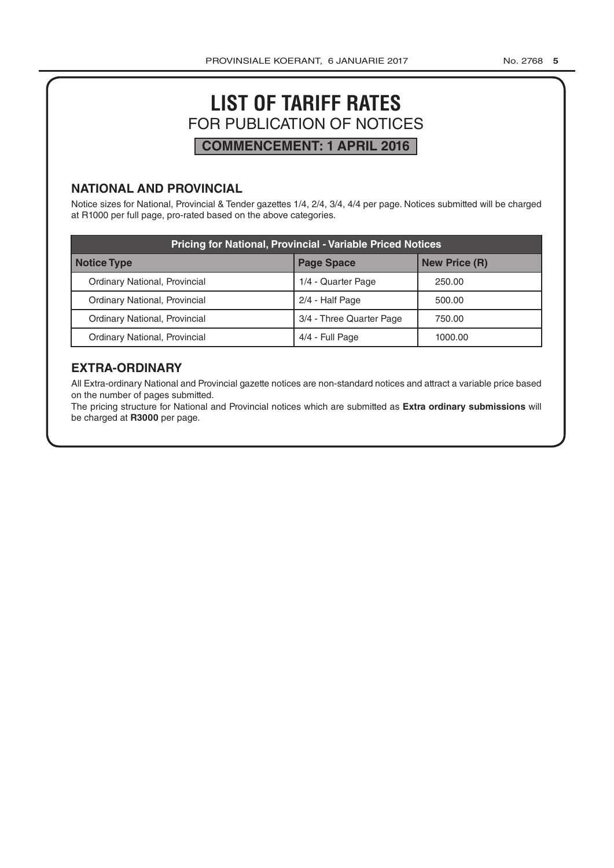## **LIST OF TARIFF RATES** FOR PUBLICATION OF NOTICES **COMMENCEMENT: 1 APRIL 2016**

#### **NATIONAL AND PROVINCIAL**

Notice sizes for National, Provincial & Tender gazettes 1/4, 2/4, 3/4, 4/4 per page. Notices submitted will be charged at R1000 per full page, pro-rated based on the above categories.

| <b>Pricing for National, Provincial - Variable Priced Notices</b> |                          |                      |  |  |  |
|-------------------------------------------------------------------|--------------------------|----------------------|--|--|--|
| <b>Notice Type</b>                                                | <b>Page Space</b>        | <b>New Price (R)</b> |  |  |  |
| Ordinary National, Provincial                                     | 1/4 - Quarter Page       | 250.00               |  |  |  |
| Ordinary National, Provincial                                     | 2/4 - Half Page          | 500.00               |  |  |  |
| Ordinary National, Provincial                                     | 3/4 - Three Quarter Page | 750.00               |  |  |  |
| Ordinary National, Provincial                                     | 4/4 - Full Page          | 1000.00              |  |  |  |

### **EXTRA-ORDINARY**

All Extra-ordinary National and Provincial gazette notices are non-standard notices and attract a variable price based on the number of pages submitted.

The pricing structure for National and Provincial notices which are submitted as **Extra ordinary submissions** will be charged at **R3000** per page.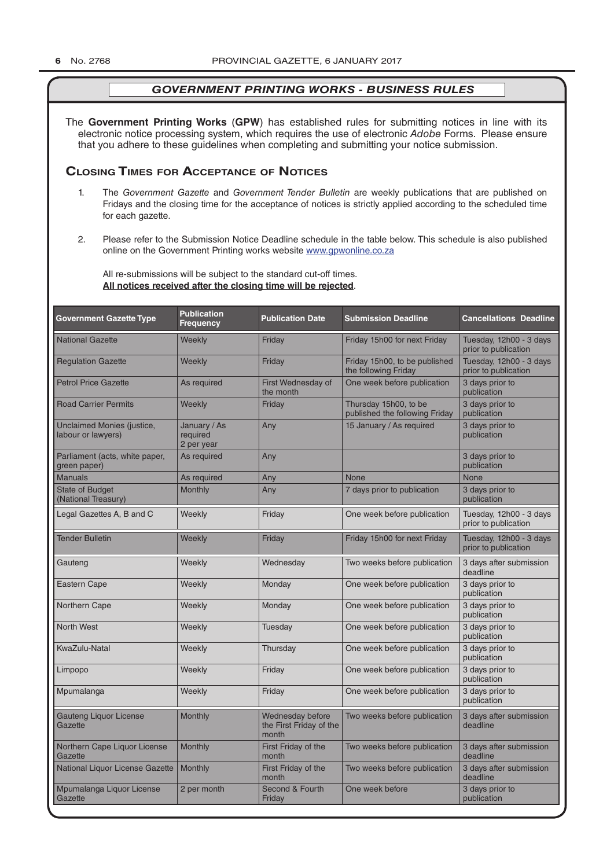The **Government Printing Works** (**GPW**) has established rules for submitting notices in line with its electronic notice processing system, which requires the use of electronic *Adobe* Forms. Please ensure that you adhere to these guidelines when completing and submitting your notice submission.

#### **Closing Times for ACCepTAnCe of noTiCes**

- 1. The *Government Gazette* and *Government Tender Bulletin* are weekly publications that are published on Fridays and the closing time for the acceptance of notices is strictly applied according to the scheduled time for each gazette.
- 2. Please refer to the Submission Notice Deadline schedule in the table below. This schedule is also published online on the Government Printing works website www.gpwonline.co.za

All re-submissions will be subject to the standard cut-off times. **All notices received after the closing time will be rejected**.

| <b>Government Gazette Type</b>                   | <b>Publication</b><br><b>Frequency</b> | <b>Publication Date</b>                              | <b>Submission Deadline</b>                              | <b>Cancellations Deadline</b>                   |
|--------------------------------------------------|----------------------------------------|------------------------------------------------------|---------------------------------------------------------|-------------------------------------------------|
| <b>National Gazette</b>                          | Weekly                                 | Friday                                               | Friday 15h00 for next Friday                            | Tuesday, 12h00 - 3 days<br>prior to publication |
| <b>Regulation Gazette</b>                        | Weekly                                 | Friday                                               | Friday 15h00, to be published<br>the following Friday   | Tuesday, 12h00 - 3 days<br>prior to publication |
| <b>Petrol Price Gazette</b>                      | As required                            | First Wednesday of<br>the month                      | One week before publication                             | 3 days prior to<br>publication                  |
| <b>Road Carrier Permits</b>                      | Weekly                                 | Friday                                               | Thursday 15h00, to be<br>published the following Friday | 3 days prior to<br>publication                  |
| Unclaimed Monies (justice,<br>labour or lawyers) | January / As<br>required<br>2 per year | Any                                                  | 15 January / As required                                | 3 days prior to<br>publication                  |
| Parliament (acts, white paper,<br>green paper)   | As required                            | Any                                                  |                                                         | 3 days prior to<br>publication                  |
| <b>Manuals</b>                                   | As required                            | Any                                                  | <b>None</b>                                             | <b>None</b>                                     |
| <b>State of Budget</b><br>(National Treasury)    | <b>Monthly</b>                         | Any                                                  | 7 days prior to publication                             | 3 days prior to<br>publication                  |
| Legal Gazettes A, B and C                        | Weekly                                 | Friday                                               | One week before publication                             | Tuesday, 12h00 - 3 days<br>prior to publication |
| <b>Tender Bulletin</b>                           | Weekly                                 | Friday                                               | Friday 15h00 for next Friday                            | Tuesday, 12h00 - 3 days<br>prior to publication |
| Gauteng                                          | Weekly                                 | Wednesday                                            | Two weeks before publication                            | 3 days after submission<br>deadline             |
| <b>Eastern Cape</b>                              | Weekly                                 | Monday                                               | One week before publication                             | 3 days prior to<br>publication                  |
| Northern Cape                                    | Weekly                                 | Monday                                               | One week before publication                             | 3 days prior to<br>publication                  |
| <b>North West</b>                                | Weekly                                 | Tuesday                                              | One week before publication                             | 3 days prior to<br>publication                  |
| KwaZulu-Natal                                    | Weekly                                 | Thursday                                             | One week before publication                             | 3 days prior to<br>publication                  |
| Limpopo                                          | Weekly                                 | Friday                                               | One week before publication                             | 3 days prior to<br>publication                  |
| Mpumalanga                                       | Weekly                                 | Friday                                               | One week before publication                             | 3 days prior to<br>publication                  |
| <b>Gauteng Liquor License</b><br>Gazette         | Monthly                                | Wednesday before<br>the First Friday of the<br>month | Two weeks before publication                            | 3 days after submission<br>deadline             |
| Northern Cape Liquor License<br>Gazette          | Monthly                                | First Friday of the<br>month                         | Two weeks before publication                            | 3 days after submission<br>deadline             |
| National Liquor License Gazette                  | Monthly                                | First Friday of the<br>month                         | Two weeks before publication                            | 3 days after submission<br>deadline             |
| Mpumalanga Liquor License<br>Gazette             | 2 per month                            | Second & Fourth<br>Friday                            | One week before                                         | 3 days prior to<br>publication                  |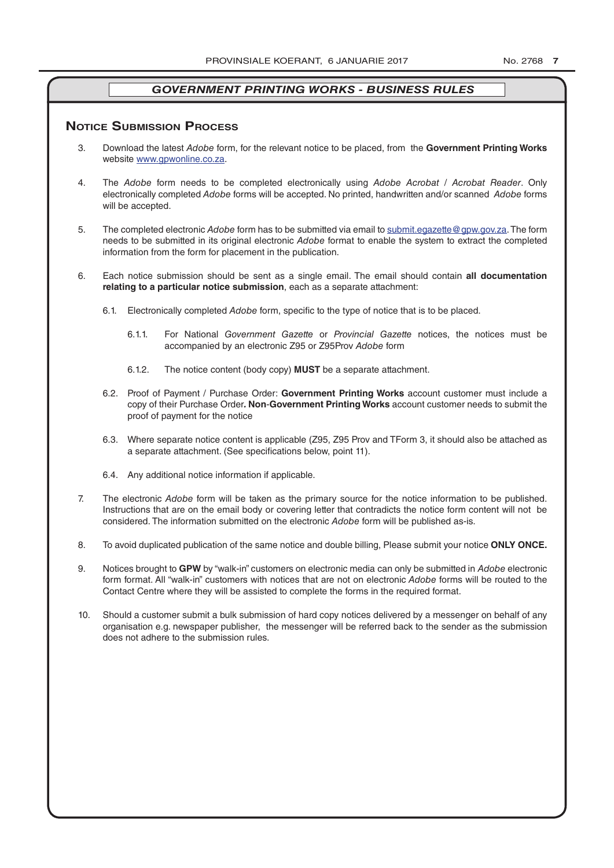#### **NOTICE SUBMISSION PROCESS**

- 3. Download the latest *Adobe* form, for the relevant notice to be placed, from the **Government Printing Works** website www.gpwonline.co.za.
- 4. The *Adobe* form needs to be completed electronically using *Adobe Acrobat* / *Acrobat Reader*. Only electronically completed *Adobe* forms will be accepted. No printed, handwritten and/or scanned *Adobe* forms will be accepted.
- 5. The completed electronic *Adobe* form has to be submitted via email to submit.egazette@gpw.gov.za. The form needs to be submitted in its original electronic *Adobe* format to enable the system to extract the completed information from the form for placement in the publication.
- 6. Each notice submission should be sent as a single email. The email should contain **all documentation relating to a particular notice submission**, each as a separate attachment:
	- 6.1. Electronically completed *Adobe* form, specific to the type of notice that is to be placed.
		- 6.1.1. For National *Government Gazette* or *Provincial Gazette* notices, the notices must be accompanied by an electronic Z95 or Z95Prov *Adobe* form
		- 6.1.2. The notice content (body copy) **MUST** be a separate attachment.
	- 6.2. Proof of Payment / Purchase Order: **Government Printing Works** account customer must include a copy of their Purchase Order*.* **Non**-**Government Printing Works** account customer needs to submit the proof of payment for the notice
	- 6.3. Where separate notice content is applicable (Z95, Z95 Prov and TForm 3, it should also be attached as a separate attachment. (See specifications below, point 11).
	- 6.4. Any additional notice information if applicable.
- 7. The electronic *Adobe* form will be taken as the primary source for the notice information to be published. Instructions that are on the email body or covering letter that contradicts the notice form content will not be considered. The information submitted on the electronic *Adobe* form will be published as-is.
- 8. To avoid duplicated publication of the same notice and double billing, Please submit your notice **ONLY ONCE.**
- 9. Notices brought to **GPW** by "walk-in" customers on electronic media can only be submitted in *Adobe* electronic form format. All "walk-in" customers with notices that are not on electronic *Adobe* forms will be routed to the Contact Centre where they will be assisted to complete the forms in the required format.
- 10. Should a customer submit a bulk submission of hard copy notices delivered by a messenger on behalf of any organisation e.g. newspaper publisher, the messenger will be referred back to the sender as the submission does not adhere to the submission rules.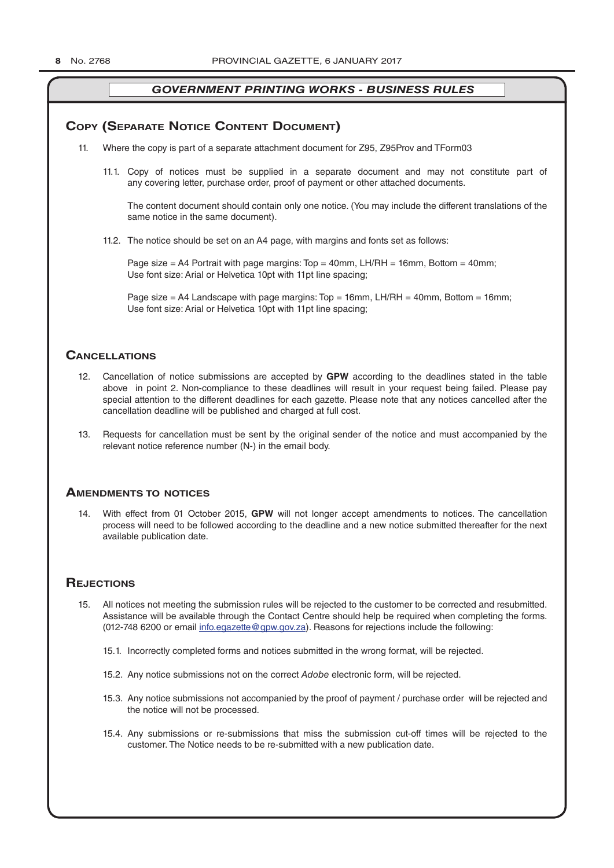#### **COPY (SEPARATE NOTICE CONTENT DOCUMENT)**

- 11. Where the copy is part of a separate attachment document for Z95, Z95Prov and TForm03
	- 11.1. Copy of notices must be supplied in a separate document and may not constitute part of any covering letter, purchase order, proof of payment or other attached documents.

The content document should contain only one notice. (You may include the different translations of the same notice in the same document).

11.2. The notice should be set on an A4 page, with margins and fonts set as follows:

Page size  $=$  A4 Portrait with page margins: Top  $=$  40mm, LH/RH  $=$  16mm, Bottom  $=$  40mm; Use font size: Arial or Helvetica 10pt with 11pt line spacing;

Page size = A4 Landscape with page margins: Top = 16mm, LH/RH = 40mm, Bottom = 16mm; Use font size: Arial or Helvetica 10pt with 11pt line spacing;

#### **CAnCellATions**

- 12. Cancellation of notice submissions are accepted by **GPW** according to the deadlines stated in the table above in point 2. Non-compliance to these deadlines will result in your request being failed. Please pay special attention to the different deadlines for each gazette. Please note that any notices cancelled after the cancellation deadline will be published and charged at full cost.
- 13. Requests for cancellation must be sent by the original sender of the notice and must accompanied by the relevant notice reference number (N-) in the email body.

#### **AmenDmenTs To noTiCes**

14. With effect from 01 October 2015, **GPW** will not longer accept amendments to notices. The cancellation process will need to be followed according to the deadline and a new notice submitted thereafter for the next available publication date.

#### **REJECTIONS**

- 15. All notices not meeting the submission rules will be rejected to the customer to be corrected and resubmitted. Assistance will be available through the Contact Centre should help be required when completing the forms. (012-748 6200 or email info.egazette@gpw.gov.za). Reasons for rejections include the following:
	- 15.1. Incorrectly completed forms and notices submitted in the wrong format, will be rejected.
	- 15.2. Any notice submissions not on the correct *Adobe* electronic form, will be rejected.
	- 15.3. Any notice submissions not accompanied by the proof of payment / purchase order will be rejected and the notice will not be processed.
	- 15.4. Any submissions or re-submissions that miss the submission cut-off times will be rejected to the customer. The Notice needs to be re-submitted with a new publication date.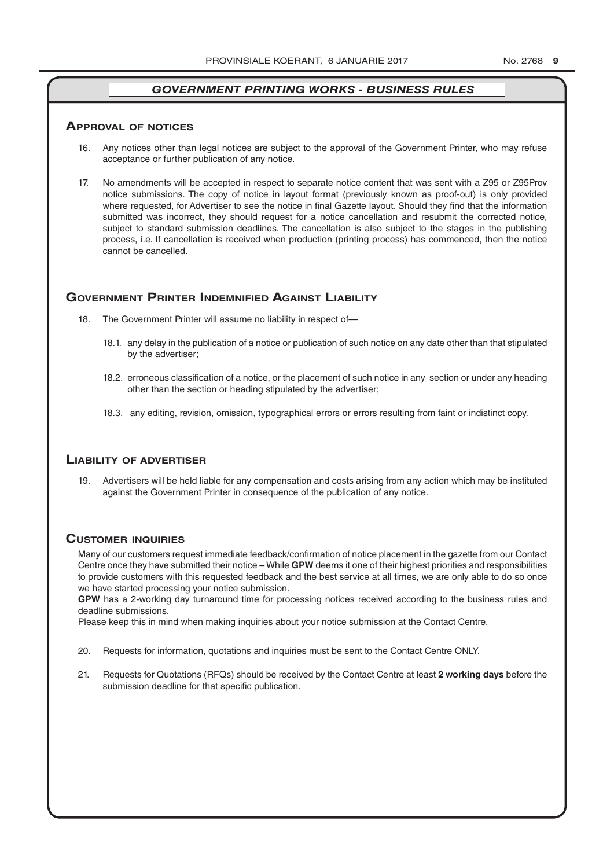#### **ApprovAl of noTiCes**

- 16. Any notices other than legal notices are subject to the approval of the Government Printer, who may refuse acceptance or further publication of any notice.
- 17. No amendments will be accepted in respect to separate notice content that was sent with a Z95 or Z95Prov notice submissions. The copy of notice in layout format (previously known as proof-out) is only provided where requested, for Advertiser to see the notice in final Gazette layout. Should they find that the information submitted was incorrect, they should request for a notice cancellation and resubmit the corrected notice, subject to standard submission deadlines. The cancellation is also subject to the stages in the publishing process, i.e. If cancellation is received when production (printing process) has commenced, then the notice cannot be cancelled.

#### **governmenT prinTer inDemnifieD AgAinsT liAbiliTy**

- 18. The Government Printer will assume no liability in respect of—
	- 18.1. any delay in the publication of a notice or publication of such notice on any date other than that stipulated by the advertiser;
	- 18.2. erroneous classification of a notice, or the placement of such notice in any section or under any heading other than the section or heading stipulated by the advertiser;
	- 18.3. any editing, revision, omission, typographical errors or errors resulting from faint or indistinct copy.

#### **liAbiliTy of ADverTiser**

19. Advertisers will be held liable for any compensation and costs arising from any action which may be instituted against the Government Printer in consequence of the publication of any notice.

#### **CusTomer inquiries**

Many of our customers request immediate feedback/confirmation of notice placement in the gazette from our Contact Centre once they have submitted their notice – While **GPW** deems it one of their highest priorities and responsibilities to provide customers with this requested feedback and the best service at all times, we are only able to do so once we have started processing your notice submission.

**GPW** has a 2-working day turnaround time for processing notices received according to the business rules and deadline submissions.

Please keep this in mind when making inquiries about your notice submission at the Contact Centre.

- 20. Requests for information, quotations and inquiries must be sent to the Contact Centre ONLY.
- 21. Requests for Quotations (RFQs) should be received by the Contact Centre at least **2 working days** before the submission deadline for that specific publication.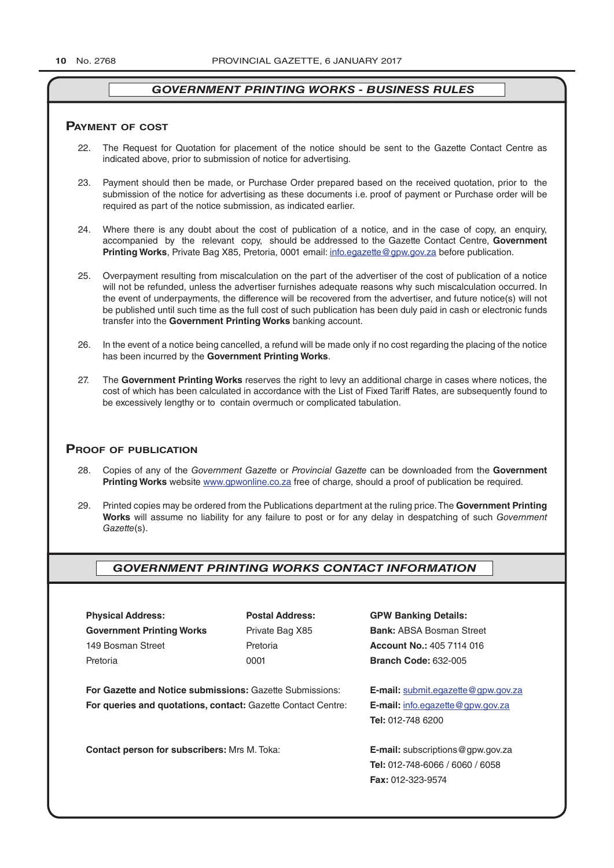#### **pAymenT of CosT**

- 22. The Request for Quotation for placement of the notice should be sent to the Gazette Contact Centre as indicated above, prior to submission of notice for advertising.
- 23. Payment should then be made, or Purchase Order prepared based on the received quotation, prior to the submission of the notice for advertising as these documents i.e. proof of payment or Purchase order will be required as part of the notice submission, as indicated earlier.
- 24. Where there is any doubt about the cost of publication of a notice, and in the case of copy, an enquiry, accompanied by the relevant copy, should be addressed to the Gazette Contact Centre, **Government Printing Works**, Private Bag X85, Pretoria, 0001 email: info.egazette@gpw.gov.za before publication.
- 25. Overpayment resulting from miscalculation on the part of the advertiser of the cost of publication of a notice will not be refunded, unless the advertiser furnishes adequate reasons why such miscalculation occurred. In the event of underpayments, the difference will be recovered from the advertiser, and future notice(s) will not be published until such time as the full cost of such publication has been duly paid in cash or electronic funds transfer into the **Government Printing Works** banking account.
- 26. In the event of a notice being cancelled, a refund will be made only if no cost regarding the placing of the notice has been incurred by the **Government Printing Works**.
- 27. The **Government Printing Works** reserves the right to levy an additional charge in cases where notices, the cost of which has been calculated in accordance with the List of Fixed Tariff Rates, are subsequently found to be excessively lengthy or to contain overmuch or complicated tabulation.

#### **proof of publiCATion**

- 28. Copies of any of the *Government Gazette* or *Provincial Gazette* can be downloaded from the **Government Printing Works** website www.gpwonline.co.za free of charge, should a proof of publication be required.
- 29. Printed copies may be ordered from the Publications department at the ruling price. The **Government Printing Works** will assume no liability for any failure to post or for any delay in despatching of such *Government Gazette*(s).

#### *GOVERNMENT PRINTING WORKS CONTACT INFORMATION*

**Physical Address: Postal Address: GPW Banking Details: Government Printing Works** Private Bag X85 **Bank:** ABSA Bosman Street 149 Bosman Street Pretoria **Account No.:** 405 7114 016 Pretoria 0001 **Branch Code:** 632-005

**For Gazette and Notice submissions:** Gazette Submissions: **E-mail:** submit.egazette@gpw.gov.za **For queries and quotations, contact:** Gazette Contact Centre: **E-mail:** info.egazette@gpw.gov.za

**Contact person for subscribers:** Mrs M. Toka: **E-mail:** subscriptions@gpw.gov.za

**Tel:** 012-748 6200

**Tel:** 012-748-6066 / 6060 / 6058 **Fax:** 012-323-9574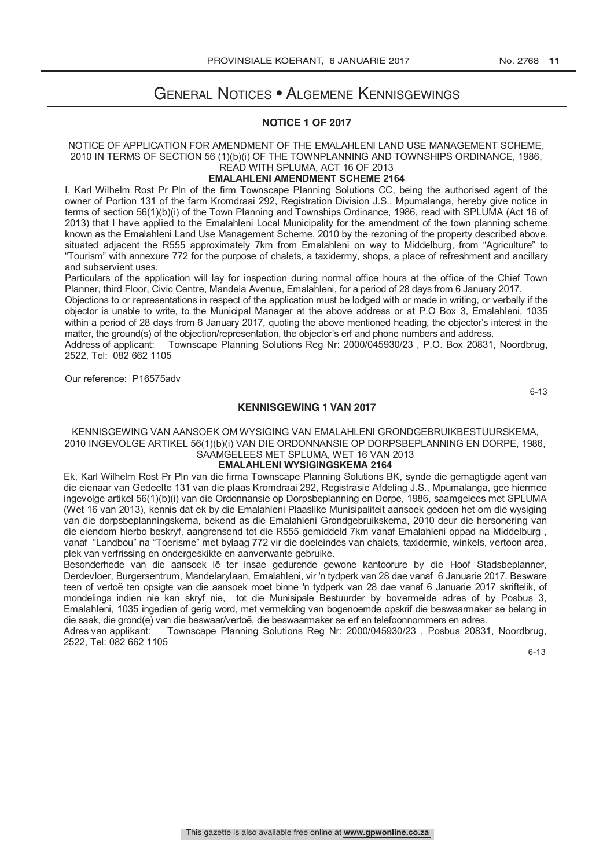## General Notices • Algemene Kennisgewings

#### **NOTICE 1 OF 2017**

#### NOTICE OF APPLICATION FOR AMENDMENT OF THE EMALAHLENI LAND USE MANAGEMENT SCHEME, 2010 IN TERMS OF SECTION 56 (1)(b)(i) OF THE TOWNPLANNING AND TOWNSHIPS ORDINANCE, 1986, READ WITH SPLUMA, ACT 16 OF 2013

#### **EMALAHLENI AMENDMENT SCHEME 2164**

I, Karl Wilhelm Rost Pr Pln of the firm Townscape Planning Solutions CC, being the authorised agent of the owner of Portion 131 of the farm Kromdraai 292, Registration Division J.S., Mpumalanga, hereby give notice in terms of section 56(1)(b)(i) of the Town Planning and Townships Ordinance, 1986, read with SPLUMA (Act 16 of 2013) that I have applied to the Emalahleni Local Municipality for the amendment of the town planning scheme known as the Emalahleni Land Use Management Scheme, 2010 by the rezoning of the property described above, situated adjacent the R555 approximately 7km from Emalahleni on way to Middelburg, from "Agriculture" to "Tourism" with annexure 772 for the purpose of chalets, a taxidermy, shops, a place of refreshment and ancillary and subservient uses.

Particulars of the application will lay for inspection during normal office hours at the office of the Chief Town Planner, third Floor, Civic Centre, Mandela Avenue, Emalahleni, for a period of 28 days from 6 January 2017.

Objections to or representations in respect of the application must be lodged with or made in writing, or verbally if the objector is unable to write, to the Municipal Manager at the above address or at P.O Box 3, Emalahleni, 1035 within a period of 28 days from 6 January 2017, quoting the above mentioned heading, the objector's interest in the matter, the ground(s) of the objection/representation, the objector's erf and phone numbers and address.

Address of applicant: Townscape Planning Solutions Reg Nr: 2000/045930/23 , P.O. Box 20831, Noordbrug, 2522, Tel: 082 662 1105

Our reference: P16575adv

6-13

#### **KENNISGEWING 1 VAN 2017**

KENNISGEWING VAN AANSOEK OM WYSIGING VAN EMALAHLENI GRONDGEBRUIKBESTUURSKEMA, 2010 INGEVOLGE ARTIKEL 56(1)(b)(i) VAN DIE ORDONNANSIE OP DORPSBEPLANNING EN DORPE, 1986, SAAMGELEES MET SPLUMA, WET 16 VAN 2013

#### **EMALAHLENI WYSIGINGSKEMA 2164**

Ek, Karl Wilhelm Rost Pr Pln van die firma Townscape Planning Solutions BK, synde die gemagtigde agent van die eienaar van Gedeelte 131 van die plaas Kromdraai 292, Registrasie Afdeling J.S., Mpumalanga, gee hiermee ingevolge artikel 56(1)(b)(i) van die Ordonnansie op Dorpsbeplanning en Dorpe, 1986, saamgelees met SPLUMA (Wet 16 van 2013), kennis dat ek by die Emalahleni Plaaslike Munisipaliteit aansoek gedoen het om die wysiging van die dorpsbeplanningskema, bekend as die Emalahleni Grondgebruikskema, 2010 deur die hersonering van die eiendom hierbo beskryf, aangrensend tot die R555 gemiddeld 7km vanaf Emalahleni oppad na Middelburg , vanaf "Landbou" na "Toerisme" met bylaag 772 vir die doeleindes van chalets, taxidermie, winkels, vertoon area, plek van verfrissing en ondergeskikte en aanverwante gebruike.

Besonderhede van die aansoek lê ter insae gedurende gewone kantoorure by die Hoof Stadsbeplanner, Derdevloer, Burgersentrum, Mandelarylaan, Emalahleni, vir 'n tydperk van 28 dae vanaf 6 Januarie 2017. Besware teen of vertoë ten opsigte van die aansoek moet binne 'n tydperk van 28 dae vanaf 6 Januarie 2017 skriftelik, of mondelings indien nie kan skryf nie, tot die Munisipale Bestuurder by bovermelde adres of by Posbus 3, Emalahleni, 1035 ingedien of gerig word, met vermelding van bogenoemde opskrif die beswaarmaker se belang in die saak, die grond(e) van die beswaar/vertoë, die beswaarmaker se erf en telefoonnommers en adres.<br>Adres van applikant: Townscape Planning Solutions Reg Nr: 2000/045930/23, Posbus 2083

Townscape Planning Solutions Reg Nr: 2000/045930/23, Posbus 20831, Noordbrug, 2522, Tel: 082 662 1105

6-13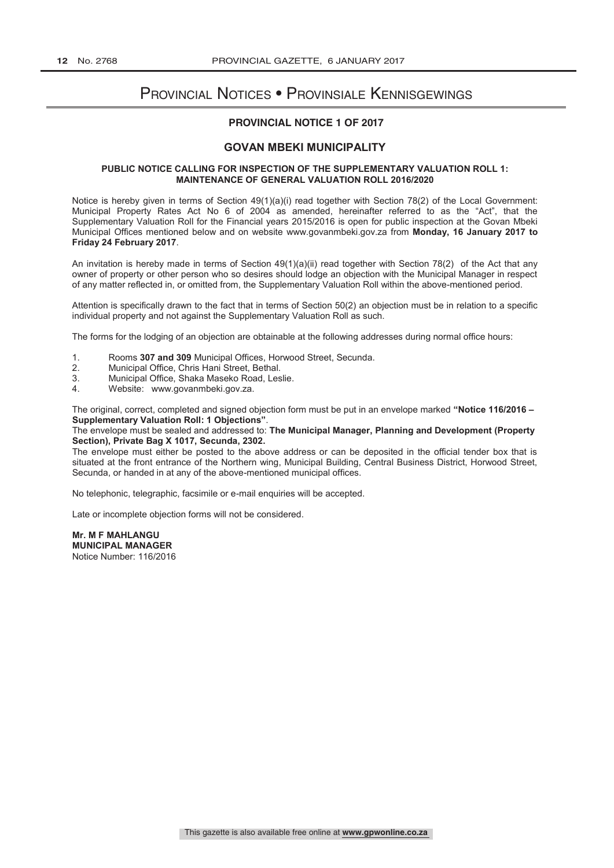## Provincial Notices • Provinsiale Kennisgewings

#### **PROVINCIAL NOTICE 1 OF 2017**

#### **GOVAN MBEKI MUNICIPALITY**

#### **PUBLIC NOTICE CALLING FOR INSPECTION OF THE SUPPLEMENTARY VALUATION ROLL 1: MAINTENANCE OF GENERAL VALUATION ROLL 2016/2020**

Notice is hereby given in terms of Section 49(1)(a)(i) read together with Section 78(2) of the Local Government: Municipal Property Rates Act No 6 of 2004 as amended, hereinafter referred to as the "Act", that the Supplementary Valuation Roll for the Financial years 2015/2016 is open for public inspection at the Govan Mbeki Municipal Offices mentioned below and on website www.govanmbeki.gov.za from **Monday, 16 January 2017 to Friday 24 February 2017**.

An invitation is hereby made in terms of Section 49(1)(a)(ii) read together with Section 78(2) of the Act that any owner of property or other person who so desires should lodge an objection with the Municipal Manager in respect of any matter reflected in, or omitted from, the Supplementary Valuation Roll within the above-mentioned period.

Attention is specifically drawn to the fact that in terms of Section 50(2) an objection must be in relation to a specific individual property and not against the Supplementary Valuation Roll as such.

The forms for the lodging of an objection are obtainable at the following addresses during normal office hours:

- 1. Rooms **307 and 309** Municipal Offices, Horwood Street, Secunda.
- 
- 2. Municipal Office, Chris Hani Street, Bethal.<br>3. Municipal Office, Shaka Maseko Road, Les 3. Municipal Office, Shaka Maseko Road, Leslie.
- Website: www.govanmbeki.gov.za.

The original, correct, completed and signed objection form must be put in an envelope marked **"Notice 116/2016 – Supplementary Valuation Roll: 1 Objections"**.

#### The envelope must be sealed and addressed to: **The Municipal Manager, Planning and Development (Property Section), Private Bag X 1017, Secunda, 2302.**

The envelope must either be posted to the above address or can be deposited in the official tender box that is situated at the front entrance of the Northern wing, Municipal Building, Central Business District, Horwood Street, Secunda, or handed in at any of the above-mentioned municipal offices.

No telephonic, telegraphic, facsimile or e-mail enquiries will be accepted.

Late or incomplete objection forms will not be considered.

**Mr. M F MAHLANGU MUNICIPAL MANAGER** Notice Number: 116/2016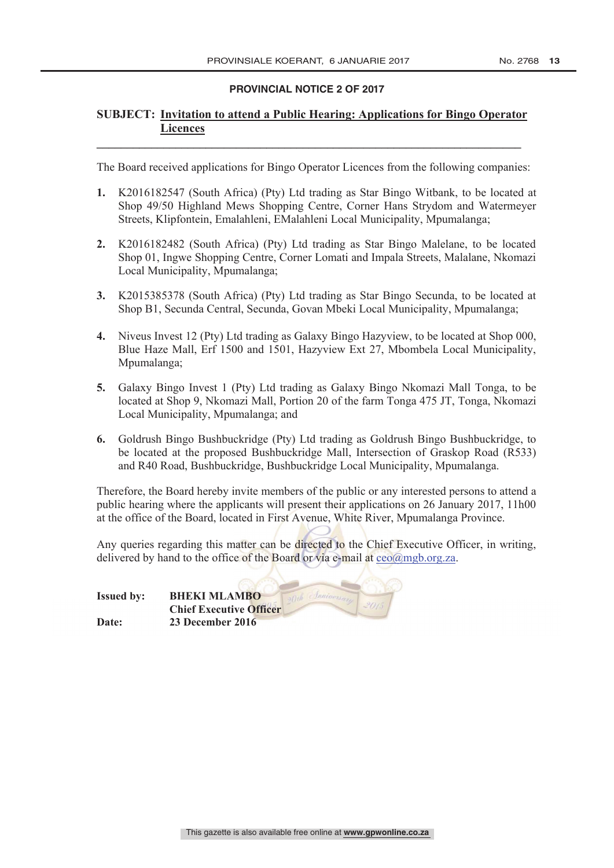# **PROVINCIAL NOTICE 2 OF 2017**

#### **SUBJECT: Invitation to attend a Public Hearing: Applications for Bingo Operator Licences**

**\_\_\_\_\_\_\_\_\_\_\_\_\_\_\_\_\_\_\_\_\_\_\_\_\_\_\_\_\_\_\_\_\_\_\_\_\_\_\_\_\_\_\_\_\_\_\_\_\_\_\_\_\_\_\_\_\_\_\_\_\_\_\_\_\_\_\_\_\_\_**

The Board received applications for Bingo Operator Licences from the following companies:

- **1.** K2016182547 (South Africa) (Pty) Ltd trading as Star Bingo Witbank, to be located at Shop 49/50 Highland Mews Shopping Centre, Corner Hans Strydom and Watermeyer Streets, Klipfontein, Emalahleni, EMalahleni Local Municipality, Mpumalanga;
- **2.** K2016182482 (South Africa) (Pty) Ltd trading as Star Bingo Malelane, to be located Shop 01, Ingwe Shopping Centre, Corner Lomati and Impala Streets, Malalane, Nkomazi Local Municipality, Mpumalanga;
- **3.** K2015385378 (South Africa) (Pty) Ltd trading as Star Bingo Secunda, to be located at Shop B1, Secunda Central, Secunda, Govan Mbeki Local Municipality, Mpumalanga;
- **4.** Niveus Invest 12 (Pty) Ltd trading as Galaxy Bingo Hazyview, to be located at Shop 000, Blue Haze Mall, Erf 1500 and 1501, Hazyview Ext 27, Mbombela Local Municipality, Mpumalanga;
- **5.** Galaxy Bingo Invest 1 (Pty) Ltd trading as Galaxy Bingo Nkomazi Mall Tonga, to be located at Shop 9, Nkomazi Mall, Portion 20 of the farm Tonga 475 JT, Tonga, Nkomazi Local Municipality, Mpumalanga; and
- **6.** Goldrush Bingo Bushbuckridge (Pty) Ltd trading as Goldrush Bingo Bushbuckridge, to be located at the proposed Bushbuckridge Mall, Intersection of Graskop Road (R533) and R40 Road, Bushbuckridge, Bushbuckridge Local Municipality, Mpumalanga.

Therefore, the Board hereby invite members of the public or any interested persons to attend a public hearing where the applicants will present their applications on 26 January 2017, 11h00 at the office of the Board, located in First Avenue, White River, Mpumalanga Province.

Any queries regarding this matter can be directed to the Chief Executive Officer, in writing, delivered by hand to the office of the Board or via e-mail at  $ceo(a)$ mgb.org.za.

| <b>Issued by:</b> | <b>BHEKI MLAMBO</b>            |
|-------------------|--------------------------------|
|                   | <b>Chief Executive Officer</b> |
| Date:             | 23 December 2016               |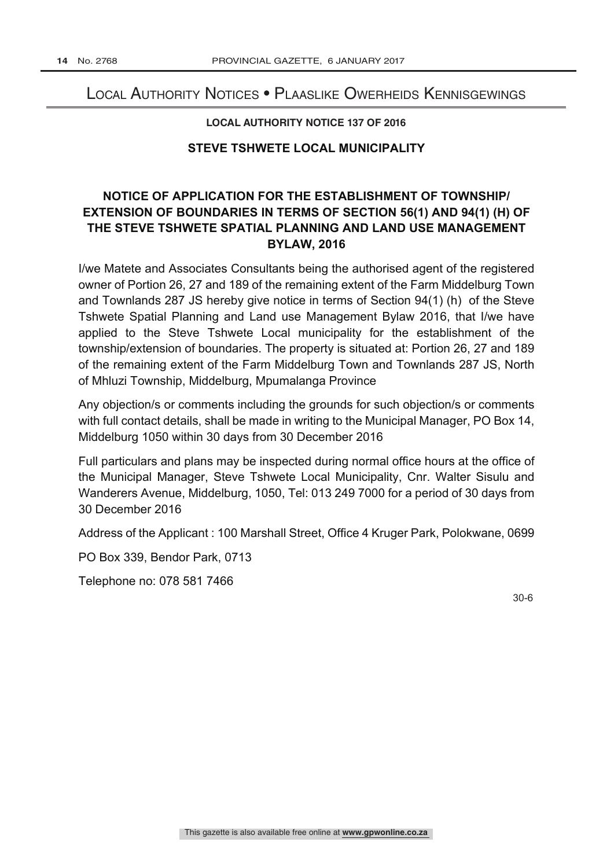### Local Authority Notices • Plaaslike Owerheids Kennisgewings

#### **LOCAL AUTHORITY NOTICE 137 OF 2016**

#### **STEVE TSHWETE LOCAL MUNICIPALITY**

## **NOTICE OF APPLICATION FOR THE ESTABLISHMENT OF TOWNSHIP/ EXTENSION OF BOUNDARIES IN TERMS OF SECTION 56(1) AND 94(1) (H) OF THE STEVE TSHWETE SPATIAL PLANNING AND LAND USE MANAGEMENT BYLAW, 2016**

I/we Matete and Associates Consultants being the authorised agent of the registered owner of Portion 26, 27 and 189 of the remaining extent of the Farm Middelburg Town and Townlands 287 JS hereby give notice in terms of Section 94(1) (h) of the Steve Tshwete Spatial Planning and Land use Management Bylaw 2016, that I/we have applied to the Steve Tshwete Local municipality for the establishment of the township/extension of boundaries. The property is situated at: Portion 26, 27 and 189 of the remaining extent of the Farm Middelburg Town and Townlands 287 JS, North of Mhluzi Township, Middelburg, Mpumalanga Province

Any objection/s or comments including the grounds for such objection/s or comments with full contact details, shall be made in writing to the Municipal Manager, PO Box 14, Middelburg 1050 within 30 days from 30 December 2016

Full particulars and plans may be inspected during normal office hours at the office of the Municipal Manager, Steve Tshwete Local Municipality, Cnr. Walter Sisulu and Wanderers Avenue, Middelburg, 1050, Tel: 013 249 7000 for a period of 30 days from 30 December 2016

Address of the Applicant : 100 Marshall Street, Office 4 Kruger Park, Polokwane, 0699

PO Box 339, Bendor Park, 0713

Telephone no: 078 581 7466

30-6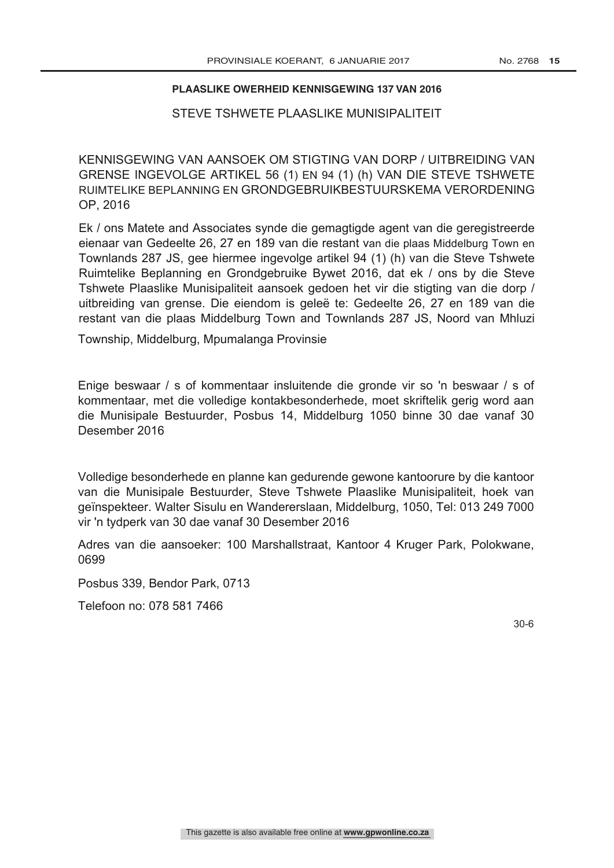#### **PLAASLIKE OWERHEID KENNISGEWING 137 VAN 2016**

#### STEVE TSHWETE PLAASLIKE MUNISIPALITEIT

KENNISGEWING VAN AANSOEK OM STIGTING VAN DORP / UITBREIDING VAN GRENSE INGEVOLGE ARTIKEL 56 (1) EN 94 (1) (h) VAN DIE STEVE TSHWETE RUIMTELIKE BEPLANNING EN GRONDGEBRUIKBESTUURSKEMA VERORDENING OP, 2016

Ek / ons Matete and Associates synde die gemagtigde agent van die geregistreerde eienaar van Gedeelte 26, 27 en 189 van die restant van die plaas Middelburg Town en Townlands 287 JS, gee hiermee ingevolge artikel 94 (1) (h) van die Steve Tshwete Ruimtelike Beplanning en Grondgebruike Bywet 2016, dat ek / ons by die Steve Tshwete Plaaslike Munisipaliteit aansoek gedoen het vir die stigting van die dorp / uitbreiding van grense. Die eiendom is geleë te: Gedeelte 26, 27 en 189 van die restant van die plaas Middelburg Town and Townlands 287 JS, Noord van Mhluzi

Township, Middelburg, Mpumalanga Provinsie

Enige beswaar / s of kommentaar insluitende die gronde vir so 'n beswaar / s of kommentaar, met die volledige kontakbesonderhede, moet skriftelik gerig word aan die Munisipale Bestuurder, Posbus 14, Middelburg 1050 binne 30 dae vanaf 30 Desember 2016

Volledige besonderhede en planne kan gedurende gewone kantoorure by die kantoor van die Munisipale Bestuurder, Steve Tshwete Plaaslike Munisipaliteit, hoek van geïnspekteer. Walter Sisulu en Wandererslaan, Middelburg, 1050, Tel: 013 249 7000 vir 'n tydperk van 30 dae vanaf 30 Desember 2016

Adres van die aansoeker: 100 Marshallstraat, Kantoor 4 Kruger Park, Polokwane, 0699

Posbus 339, Bendor Park, 0713

Telefoon no: 078 581 7466

30-6